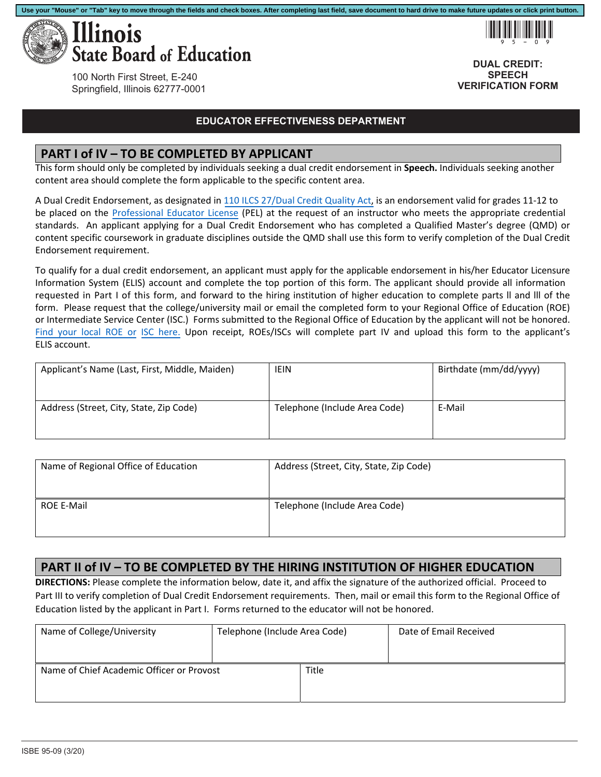

!95-09

**DUAL CREDIT: SPEECH VERIFICATION FORM**

100 North First Street, E-240 Springfield, Illinois 62777-0001

#### **EDUCATOR EFFECTIVENESS DEPARTMENT**

**Use your "Mouse" or "Tab" key to move through the fields and check boxes. After completing last field, save document to hard drive to make future updates or click print button.**

#### **PART I of IV – TO BE COMPLETED BY APPLICANT**

This form should only be completed by individuals seeking a dual credit endorsement in **Speech.** Individuals seeking another content area should complete the form applicable to the specific content area.

A Dual Credit Endorsement, as designated in [110 ILCS 27/Dual Credit Quality Act,](http://www.ilga.gov/legislation/ilcs/ilcs3.asp?ActID=3117&ChapterID=18) is an endorsement valid for grades 11‐12 to be placed on the Professional Educator License (PEL) at the request of an instructor who meets the appropriate credential standards. An applicant applying for a Dual Credit Endorsement who has completed a Qualified Master's degree (QMD) or content specific coursework in graduate disciplines outside the QMD shall use this form to verify completion of the Dual Credit Endorsement requirement.

To qualify for a dual credit endorsement, an applicant must apply for the applicable endorsement in his/her Educator Licensure Information System (ELIS) account and complete the top portion of this form. The applicant should provide all information requested in Part I of this form, and forward to the hiring institution of higher education to complete parts ll and lll of the form. Please request that the college/university mail or email the completed form to your Regional Office of Education (ROE) or Intermediate Service Center (ISC.) Forms submitted to the Regional Office of Education by the applicant will not be honored. Find your local ROE or ISC here. Upon receipt, ROEs/ISCs will complete part IV and upload this form to the applicant's ELIS account.

| Applicant's Name (Last, First, Middle, Maiden) | IEIN                          | Birthdate (mm/dd/yyyy) |
|------------------------------------------------|-------------------------------|------------------------|
| Address (Street, City, State, Zip Code)        | Telephone (Include Area Code) | E-Mail                 |

| Name of Regional Office of Education | Address (Street, City, State, Zip Code) |
|--------------------------------------|-----------------------------------------|
| <b>ROE E-Mail</b>                    | Telephone (Include Area Code)           |

### **PART II of IV – TO BE COMPLETED BY THE HIRING INSTITUTION OF HIGHER EDUCATION**

**DIRECTIONS:** Please complete the information below, date it, and affix the signature of the authorized official. Proceed to Part III to verify completion of Dual Credit Endorsement requirements. Then, mail or email this form to the Regional Office of Education listed by the applicant in Part I. Forms returned to the educator will not be honored.

| Name of College/University                | Telephone (Include Area Code) |       | Date of Email Received |
|-------------------------------------------|-------------------------------|-------|------------------------|
| Name of Chief Academic Officer or Provost |                               | Title |                        |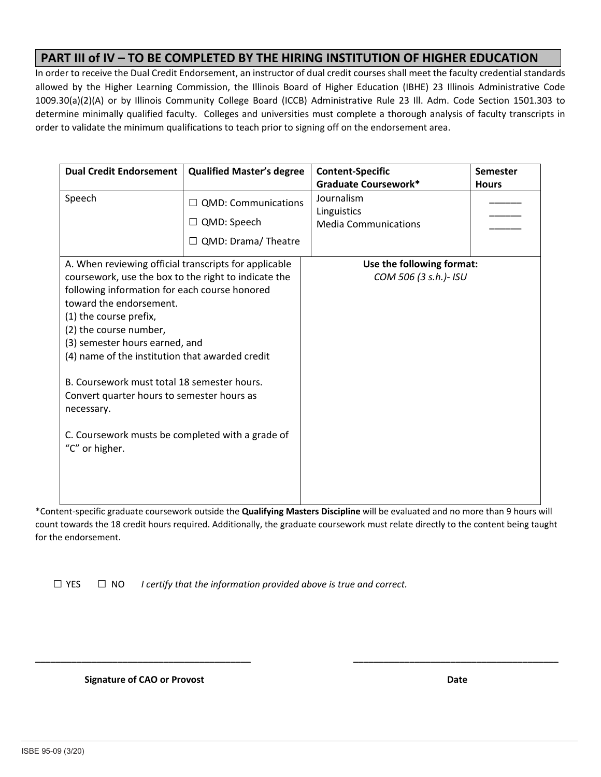## **PART III of IV – TO BE COMPLETED BY THE HIRING INSTITUTION OF HIGHER EDUCATION**

In order to receive the Dual Credit Endorsement, an instructor of dual credit courses shall meet the faculty credential standards allowed by the Higher Learning Commission, the Illinois Board of Higher Education (IBHE) 23 Illinois Administrative Code 1009.30(a)(2)(A) or by Illinois Community College Board (ICCB) Administrative Rule 23 Ill. Adm. Code Section 1501.303 to determine minimally qualified faculty. Colleges and universities must complete a thorough analysis of faculty transcripts in order to validate the minimum qualifications to teach prior to signing off on the endorsement area.

| <b>Dual Credit Endorsement</b>                        | <b>Qualified Master's degree</b> | <b>Content-Specific</b>     | Semester     |
|-------------------------------------------------------|----------------------------------|-----------------------------|--------------|
|                                                       |                                  | <b>Graduate Coursework*</b> | <b>Hours</b> |
| Speech                                                | $\Box$ QMD: Communications       | Journalism<br>Linguistics   |              |
|                                                       | $\Box$ QMD: Speech               | <b>Media Communications</b> |              |
|                                                       | $\Box$ QMD: Drama/ Theatre       |                             |              |
| A. When reviewing official transcripts for applicable |                                  | Use the following format:   |              |
| coursework, use the box to the right to indicate the  |                                  | COM 506 (3 s.h.)- ISU       |              |
| following information for each course honored         |                                  |                             |              |
| toward the endorsement.                               |                                  |                             |              |
| (1) the course prefix,                                |                                  |                             |              |
| (2) the course number,                                |                                  |                             |              |
| (3) semester hours earned, and                        |                                  |                             |              |
| (4) name of the institution that awarded credit       |                                  |                             |              |
| B. Coursework must total 18 semester hours.           |                                  |                             |              |
| Convert quarter hours to semester hours as            |                                  |                             |              |
| necessary.                                            |                                  |                             |              |
|                                                       |                                  |                             |              |
| C. Coursework musts be completed with a grade of      |                                  |                             |              |
| "C" or higher.                                        |                                  |                             |              |
|                                                       |                                  |                             |              |
|                                                       |                                  |                             |              |
|                                                       |                                  |                             |              |

\*Content‐specific graduate coursework outside the **Qualifying Masters Discipline** will be evaluated and no more than 9 hours will count towards the 18 credit hours required. Additionally, the graduate coursework must relate directly to the content being taught for the endorsement.

**\_\_\_\_\_\_\_\_\_\_\_\_\_\_\_\_\_\_\_\_\_\_\_\_\_\_\_\_\_\_\_\_\_\_\_\_\_\_\_\_\_\_ \_\_\_\_\_\_\_\_\_\_\_\_\_\_\_\_\_\_\_\_\_\_\_\_\_\_\_\_\_\_\_\_\_\_\_\_\_\_\_\_** 

 $\Box$  YES  $\Box$  NO *I certify that the information provided above is true and correct.* 

 **Signature of CAO or Provost**  *<b>Date <b>Date Date <b>Date Date Date*